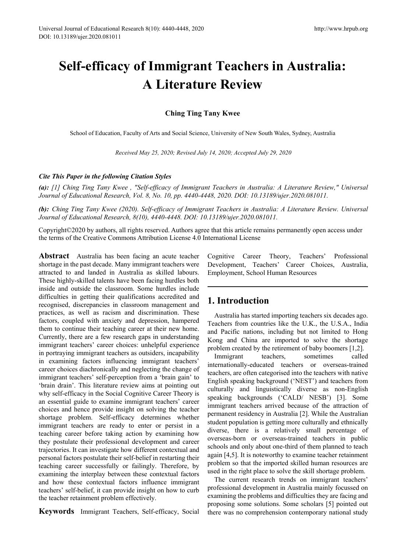# **Self-efficacy of Immigrant Teachers in Australia: A Literature Review**

**Ching Ting Tany Kwee**

School of Education, Faculty of Arts and Social Science, University of New South Wales, Sydney, Australia

*Received May 25, 2020; Revised July 14, 2020; Accepted July 29, 2020*

#### *Cite This Paper in the following Citation Styles*

*(a): [1] Ching Ting Tany Kwee , "Self-efficacy of Immigrant Teachers in Australia: A Literature Review," Universal Journal of Educational Research, Vol. 8, No. 10, pp. 4440-4448, 2020. DOI: 10.13189/ujer.2020.081011.* 

*(b): Ching Ting Tany Kwee (2020). Self-efficacy of Immigrant Teachers in Australia: A Literature Review. Universal Journal of Educational Research, 8(10), 4440-4448. DOI: 10.13189/ujer.2020.081011.* 

Copyright©2020 by authors, all rights reserved. Authors agree that this article remains permanently open access under the terms of the Creative Commons Attribution License 4.0 International License

**Abstract** Australia has been facing an acute teacher shortage in the past decade. Many immigrant teachers were attracted to and landed in Australia as skilled labours. These highly-skilled talents have been facing hurdles both inside and outside the classroom. Some hurdles include difficulties in getting their qualifications accredited and recognised, discrepancies in classroom management and practices, as well as racism and discrimination. These factors, coupled with anxiety and depression, hampered them to continue their teaching career at their new home. Currently, there are a few research gaps in understanding immigrant teachers' career choices: unhelpful experience in portraying immigrant teachers as outsiders, incapability in examining factors influencing immigrant teachers' career choices diachronically and neglecting the change of immigrant teachers' self-perception from a 'brain gain' to 'brain drain'. This literature review aims at pointing out why self-efficacy in the Social Cognitive Career Theory is an essential guide to examine immigrant teachers' career choices and hence provide insight on solving the teacher shortage problem. Self-efficacy determines whether immigrant teachers are ready to enter or persist in a teaching career before taking action by examining how they postulate their professional development and career trajectories. It can investigate how different contextual and personal factors postulate their self-belief in restarting their teaching career successfully or failingly. Therefore, by examining the interplay between these contextual factors and how these contextual factors influence immigrant teachers' self-belief, it can provide insight on how to curb the teacher retainment problem effectively.

**Keywords** Immigrant Teachers, Self-efficacy, Social

Cognitive Career Theory, Teachers' Professional Development, Teachers' Career Choices, Australia, Employment, School Human Resources

### **1. Introduction**

Australia has started importing teachers six decades ago. Teachers from countries like the U.K., the U.S.A., India and Pacific nations, including but not limited to Hong Kong and China are imported to solve the shortage problem created by the retirement of baby boomers [1,2].

Immigrant teachers, sometimes called internationally-educated teachers or overseas-trained teachers, are often categorised into the teachers with native English speaking background ('NEST') and teachers from culturally and linguistically diverse as non-English speaking backgrounds ('CALD/ NESB') [3]. Some immigrant teachers arrived because of the attraction of permanent residency in Australia [2]. While the Australian student population is getting more culturally and ethnically diverse, there is a relatively small percentage of overseas-born or overseas-trained teachers in public schools and only about one-third of them planned to teach again [4,5]. It is noteworthy to examine teacher retainment problem so that the imported skilled human resources are used in the right place to solve the skill shortage problem.

The current research trends on immigrant teachers' professional development in Australia mainly focussed on examining the problems and difficulties they are facing and proposing some solutions. Some scholars [5] pointed out there was no comprehension contemporary national study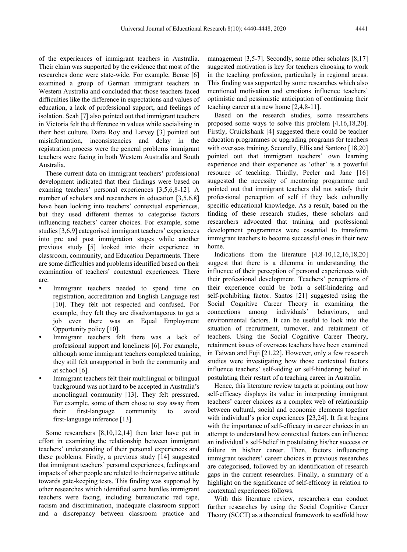of the experiences of immigrant teachers in Australia. Their claim was supported by the evidence that most of the researches done were state-wide. For example, Bense [6] examined a group of German immigrant teachers in Western Australia and concluded that those teachers faced difficulties like the difference in expectations and values of education, a lack of professional support, and feelings of isolation. Seah [7] also pointed out that immigrant teachers in Victoria felt the difference in values while socialising in their host culture. Datta Roy and Larvey [3] pointed out misinformation, inconsistencies and delay in the registration process were the general problems immigrant teachers were facing in both Western Australia and South Australia.

These current data on immigrant teachers' professional development indicated that their findings were based on examing teachers' personal experiences [3,5,6,8-12]. A number of scholars and researchers in education [3,5,6,8] have been looking into teachers' contextual experiences, but they used different themes to categorise factors influencing teachers' career choices. For example, some studies [3,6,9] categorised immigrant teachers' experiences into pre and post immigration stages while another previous study [5] looked into their experience in classroom, community, and Education Departments. There are some difficulties and problems identified based on their examination of teachers' contextual experiences. There are:

- Immigrant teachers needed to spend time on registration, accreditation and English Language test [10]. They felt not respected and confused. For example, they felt they are disadvantageous to get a job even there was an Equal Employment Opportunity policy [10].
- Immigrant teachers felt there was a lack of professional support and loneliness [6]. For example, although some immigrant teachers completed training, they still felt unsupported in both the community and at school [6].
- Immigrant teachers felt their multilingual or bilingual background was not hard to be accepted in Australia's monolingual community [13]. They felt pressured. For example, some of them chose to stay away from their first-language community to avoid first-language inference [13].

Some researchers [8,10,12,14] then later have put in effort in examining the relationship between immigrant teachers' understanding of their personal experiences and these problems. Firstly, a previous study [14] suggested that immigrant teachers' personal experiences, feelings and impacts of other people are related to their negative attitude towards gate-keeping tests. This finding was supported by other researches which identified some hurdles immigrant teachers were facing, including bureaucratic red tape, racism and discrimination, inadequate classroom support and a discrepancy between classroom practice and

management [3,5-7]. Secondly, some other scholars [8,17] suggested motivation is key for teachers choosing to work in the teaching profession, particularly in regional areas. This finding was supported by some researches which also mentioned motivation and emotions influence teachers' optimistic and pessimistic anticipation of continuing their teaching career at a new home [2,4,8-11].

Based on the research studies, some researchers proposed some ways to solve this problem [4,16,18,20]. Firstly, Cruickshank [4] suggested there could be teacher education programmes or upgrading programs for teachers with overseas training. Secondly, Ellis and Santoro [18,20] pointed out that immigrant teachers' own learning experience and their experience as 'other' is a powerful resource of teaching. Thirdly, Peeler and Jane [16] suggested the necessity of mentoring programme and pointed out that immigrant teachers did not satisfy their professional perception of self if they lack culturally specific educational knowledge. As a result, based on the finding of these research studies, these scholars and researchers advocated that training and professional development programmes were essential to transform immigrant teachers to become successful ones in their new home.

Indications from the literature [4,8-10,12,16,18,20] suggest that there is a dilemma in understanding the influence of their perception of personal experiences with their professional development. Teachers' perceptions of their experience could be both a self-hindering and self-prohibiting factor. Santos [21] suggested using the Social Cognitive Career Theory in examining the connections among individuals' behaviours, and environmental factors. It can be useful to look into the situation of recruitment, turnover, and retainment of teachers. Using the Social Cognitive Career Theory, retainment issues of overseas teachers have been examined in Taiwan and Fuji [21,22]. However, only a few research studies were investigating how those contextual factors influence teachers' self-aiding or self-hindering belief in postulating their restart of a teaching career in Australia.

Hence, this literature review targets at pointing out how self-efficacy displays its value in interpreting immigrant teachers' career choices as a complex web of relationship between cultural, social and economic elements together with individual's prior experiences [23,24]. It first begins with the importance of self-efficacy in career choices in an attempt to understand how contextual factors can influence an individual's self-belief in postulating his/her success or failure in his/her career. Then, factors influencing immigrant teachers' career choices in previous researches are categorised, followed by an identification of research gaps in the current researches. Finally, a summary of a highlight on the significance of self-efficacy in relation to contextual experiences follows.

With this literature review, researchers can conduct further researches by using the Social Cognitive Career Theory (SCCT) as a theoretical framework to scaffold how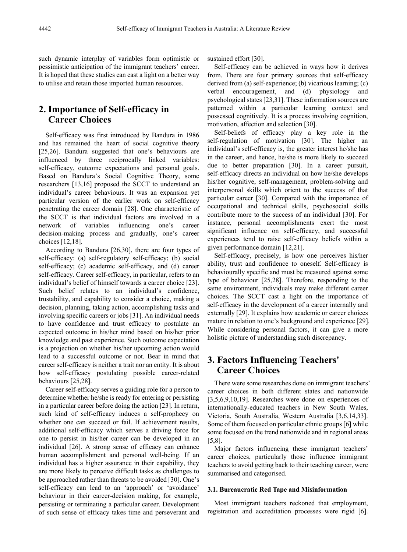such dynamic interplay of variables form optimistic or pessimistic anticipation of the immigrant teachers' career. It is hoped that these studies can cast a light on a better way to utilise and retain those imported human resources.

# **2. Importance of Self-efficacy in Career Choices**

Self-efficacy was first introduced by Bandura in 1986 and has remained the heart of social cognitive theory [25,26]. Bandura suggested that one's behaviours are influenced by three reciprocally linked variables: self-efficacy, outcome expectations and personal goals. Based on Bandura's Social Cognitive Theory, some researchers [13,16] proposed the SCCT to understand an individual's career behaviours. It was an expansion yet particular version of the earlier work on self-efficacy penetrating the career domain [28]. One characteristic of the SCCT is that individual factors are involved in a<br>network of variables influencing one's career network of variables influencing one's career decision-making process and gradually, one's career choices [12,18].

According to Bandura [26,30], there are four types of self-efficacy: (a) self-regulatory self-efficacy; (b) social self-efficacy; (c) academic self-efficacy, and (d) career self-efficacy. Career self-efficacy, in particular, refers to an individual's belief of himself towards a career choice [23]. Such belief relates to an individual's confidence, trustability, and capability to consider a choice, making a decision, planning, taking action, accomplishing tasks and involving specific careers or jobs [31]. An individual needs to have confidence and trust efficacy to postulate an expected outcome in his/her mind based on his/her prior knowledge and past experience. Such outcome expectation is a projection on whether his/her upcoming action would lead to a successful outcome or not. Bear in mind that career self-efficacy is neither a trait nor an entity. It is about how self-efficacy postulating possible career-related behaviours [25,28].

Career self-efficacy serves a guiding role for a person to determine whether he/she is ready for entering or persisting in a particular career before doing the action [23]. In return, such kind of self-efficacy induces a self-prophecy on whether one can succeed or fail. If achievement results, additional self-efficacy which serves a driving force for one to persist in his/her career can be developed in an individual [26]. A strong sense of efficacy can enhance human accomplishment and personal well-being. If an individual has a higher assurance in their capability, they are more likely to perceive difficult tasks as challenges to be approached rather than threats to be avoided [30]. One's self-efficacy can lead to an 'approach' or 'avoidance' behaviour in their career-decision making, for example, persisting or terminating a particular career. Development of such sense of efficacy takes time and perseverant and

sustained effort [30].

Self-efficacy can be achieved in ways how it derives from. There are four primary sources that self-efficacy derived from (a) self-experience; (b) vicarious learning; (c) verbal encouragement, and (d) physiology and psychological states [23,31]. These information sources are patterned within a particular learning context and possessed cognitively. It is a process involving cognition, motivation, affection and selection [30].

Self-beliefs of efficacy play a key role in the self-regulation of motivation [30]. The higher an individual's self-efficacy is, the greater interest he/she has in the career, and hence, he/she is more likely to succeed due to better preparation [30]. In a career pursuit, self-efficacy directs an individual on how he/she develops his/her cognitive, self-management, problem-solving and interpersonal skills which orient to the success of that particular career [30]. Compared with the importance of occupational and technical skills, psychosocial skills contribute more to the success of an individual [30]. For instance, personal accomplishments exert the most significant influence on self-efficacy, and successful experiences tend to raise self-efficacy beliefs within a given performance domain [12,21].

Self-efficacy, precisely, is how one perceives his/her ability, trust and confidence to oneself. Self-efficacy is behaviourally specific and must be measured against some type of behaviour [25,28]. Therefore, responding to the same environment, individuals may make different career choices. The SCCT cast a light on the importance of self-efficacy in the development of a career internally and externally [29]. It explains how academic or career choices mature in relation to one's background and experience [29]. While considering personal factors, it can give a more holistic picture of understanding such discrepancy.

# **3. Factors Influencing Teachers' Career Choices**

There were some researches done on immigrant teachers' career choices in both different states and nationwide [3,5,6,9,10,19]. Researches were done on experiences of internationally-educated teachers in New South Wales, Victoria, South Australia, Western Australia [3,6,14,33]. Some of them focused on particular ethnic groups [6] while some focused on the trend nationwide and in regional areas [5,8].

Major factors influencing these immigrant teachers' career choices, particularly those influence immigrant teachers to avoid getting back to their teaching career, were summarised and categorised.

#### **3.1. Bureaucratic Red Tape and Misinformation**

Most immigrant teachers reckoned that employment, registration and accreditation processes were rigid [6].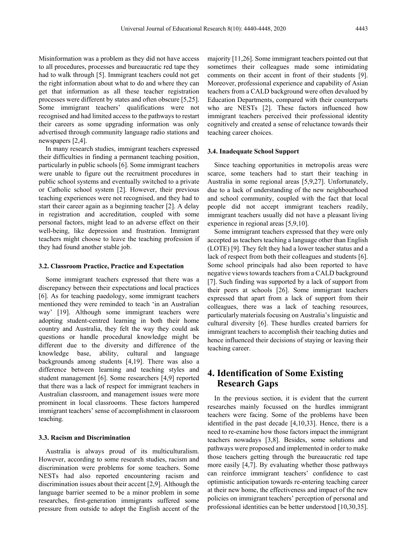Misinformation was a problem as they did not have access to all procedures, processes and bureaucratic red tape they had to walk through [5]. Immigrant teachers could not get the right information about what to do and where they can get that information as all these teacher registration processes were different by states and often obscure [5,25]. Some immigrant teachers' qualifications were not recognised and had limited access to the pathways to restart their careers as some upgrading information was only advertised through community language radio stations and newspapers [2,4].

In many research studies, immigrant teachers expressed their difficulties in finding a permanent teaching position, particularly in public schools [6]. Some immigrant teachers were unable to figure out the recruitment procedures in public school systems and eventually switched to a private or Catholic school system [2]. However, their previous teaching experiences were not recognised, and they had to start their career again as a beginning teacher [2]. A delay in registration and accreditation, coupled with some personal factors, might lead to an adverse effect on their well-being, like depression and frustration. Immigrant teachers might choose to leave the teaching profession if they had found another stable job.

#### **3.2. Classroom Practice, Practice and Expectation**

Some immigrant teachers expressed that there was a discrepancy between their expectations and local practices [6]. As for teaching paedology, some immigrant teachers mentioned they were reminded to teach 'in an Australian way' [19]. Although some immigrant teachers were adopting student-centred learning in both their home country and Australia, they felt the way they could ask questions or handle procedural knowledge might be different due to the diversity and difference of the knowledge base, ability, cultural and language backgrounds among students [4,19]. There was also a difference between learning and teaching styles and student management [6]. Some researchers [4,9] reported that there was a lack of respect for immigrant teachers in Australian classroom, and management issues were more prominent in local classrooms. These factors hampered immigrant teachers' sense of accomplishment in classroom teaching.

#### **3.3. Racism and Discrimination**

Australia is always proud of its multiculturalism. However, according to some research studies, racism and discrimination were problems for some teachers. Some NESTs had also reported encountering racism and discrimination issues about their accent [2,9]. Although the language barrier seemed to be a minor problem in some researches, first-generation immigrants suffered some pressure from outside to adopt the English accent of the

majority [11,26]. Some immigrant teachers pointed out that sometimes their colleagues made some intimidating comments on their accent in front of their students [9]. Moreover, professional experience and capability of Asian teachers from a CALD background were often devalued by Education Departments, compared with their counterparts who are NESTs [2]. These factors influenced how immigrant teachers perceived their professional identity cognitively and created a sense of reluctance towards their teaching career choices.

#### **3.4. Inadequate School Support**

Since teaching opportunities in metropolis areas were scarce, some teachers had to start their teaching in Australia in some regional areas [5,9,27]. Unfortunately, due to a lack of understanding of the new neighbourhood and school community, coupled with the fact that local people did not accept immigrant teachers readily, immigrant teachers usually did not have a pleasant living experience in regional areas [5,9,10].

Some immigrant teachers expressed that they were only accepted as teachers teaching a language other than English (LOTE) [9]. They felt they had a lower teacher status and a lack of respect from both their colleagues and students [6]. Some school principals had also been reported to have negative views towards teachers from a CALD background [7]. Such finding was supported by a lack of support from their peers at schools [26]. Some immigrant teachers expressed that apart from a lack of support from their colleagues, there was a lack of teaching resources, particularly materials focusing on Australia's linguistic and cultural diversity [6]. These hurdles created barriers for immigrant teachers to accomplish their teaching duties and hence influenced their decisions of staying or leaving their teaching career.

### **4. Identification of Some Existing Research Gaps**

In the previous section, it is evident that the current researches mainly focussed on the hurdles immigrant teachers were facing. Some of the problems have been identified in the past decade [4,10,33]. Hence, there is a need to re-examine how those factors impact the immigrant teachers nowadays [3,8]. Besides, some solutions and pathways were proposed and implemented in order to make those teachers getting through the bureaucratic red tape more easily [4,7]. By evaluating whether those pathways can reinforce immigrant teachers' confidence to cast optimistic anticipation towards re-entering teaching career at their new home, the effectiveness and impact of the new policies on immigrant teachers' perception of personal and professional identities can be better understood [10,30,35].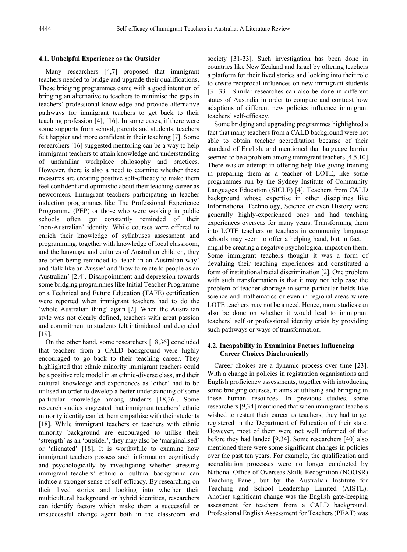#### **4.1. Unhelpful Experience as the Outsider**

Many researchers [4,7] proposed that immigrant teachers needed to bridge and upgrade their qualifications. These bridging programmes came with a good intention of bringing an alternative to teachers to minimise the gaps in teachers' professional knowledge and provide alternative pathways for immigrant teachers to get back to their teaching profession [4], [16]. In some cases, if there were some supports from school, parents and students, teachers felt happier and more confident in their teaching [7]. Some researchers [16] suggested mentoring can be a way to help immigrant teachers to attain knowledge and understanding of unfamiliar workplace philosophy and practices. However, there is also a need to examine whether these measures are creating positive self-efficacy to make them feel confident and optimistic about their teaching career as newcomers. Immigrant teachers participating in teacher induction programmes like The Professional Experience Programme (PEP) or those who were working in public schools often got constantly reminded of their 'non-Australian' identity. While courses were offered to enrich their knowledge of syllabuses assessment and programming, together with knowledge of local classroom, and the language and cultures of Australian children, they are often being reminded to 'teach in an Australian way' and 'talk like an Aussie' and 'how to relate to people as an Australian' [2,4]. Disappointment and depression towards some bridging programmes like Initial Teacher Programme or a Technical and Future Education (TAFE) certification were reported when immigrant teachers had to do the 'whole Australian thing' again [2]. When the Australian style was not clearly defined, teachers with great passion and commitment to students felt intimidated and degraded  $[19]$ .

On the other hand, some researchers [18,36] concluded that teachers from a CALD background were highly encouraged to go back to their teaching career. They highlighted that ethnic minority immigrant teachers could be a positive role model in an ethnic-diverse class, and their cultural knowledge and experiences as 'other' had to be utilised in order to develop a better understanding of some particular knowledge among students [18,36]. Some research studies suggested that immigrant teachers' ethnic minority identity can let them empathise with their students [18]. While immigrant teachers or teachers with ethnic minority background are encouraged to utilise their 'strength' as an 'outsider', they may also be 'marginalised' or 'alienated' [18]. It is worthwhile to examine how immigrant teachers possess such information cognitively and psychologically by investigating whether stressing immigrant teachers' ethnic or cultural background can induce a stronger sense of self-efficacy. By researching on their lived stories and looking into whether their multicultural background or hybrid identities, researchers can identify factors which make them a successful or unsuccessful change agent both in the classroom and

society [31-33]. Such investigation has been done in countries like New Zealand and Israel by offering teachers a platform for their lived stories and looking into their role to create reciprocal influences on new immigrant students [31-33]. Similar researches can also be done in different states of Australia in order to compare and contrast how adaptions of different new policies influence immigrant teachers' self-efficacy.

Some bridging and upgrading programmes highlighted a fact that many teachers from a CALD background were not able to obtain teacher accreditation because of their standard of English, and mentioned that language barrier seemed to be a problem among immigrant teachers [4,5,10]. There was an attempt in offering help like giving training in preparing them as a teacher of LOTE, like some programmes run by the Sydney Institute of Community Languages Education (SICLE) [4]. Teachers from CALD background whose expertise in other disciplines like Informational Technology, Science or even History were generally highly-experienced ones and had teaching experiences overseas for many years. Transforming them into LOTE teachers or teachers in community language schools may seem to offer a helping hand, but in fact, it might be creating a negative psychological impact on them. Some immigrant teachers thought it was a form of devaluing their teaching experiences and constituted a form of institutional racial discrimination [2]. One problem with such transformation is that it may not help ease the problem of teacher shortage in some particular fields like science and mathematics or even in regional areas where LOTE teachers may not be a need. Hence, more studies can also be done on whether it would lead to immigrant teachers' self or professional identity crisis by providing such pathways or ways of transformation.

#### **4.2. Incapability in Examining Factors Influencing Career Choices Diachronically**

Career choices are a dynamic process over time [23]. With a change in policies in registration organisations and English proficiency assessments, together with introducing some bridging courses, it aims at utilising and bringing in these human resources. In previous studies, some researchers [9,34] mentioned that when immigrant teachers wished to restart their career as teachers, they had to get registered in the Department of Education of their state. However, most of them were not well informed of that before they had landed [9,34]. Some researchers [40] also mentioned there were some significant changes in policies over the past ten years. For example, the qualification and accreditation processes were no longer conducted by National Office of Overseas Skills Recognition (NOOSR) Teaching Panel, but by the Australian Institute for Teaching and School Leadership Limited (AISTL). Another significant change was the English gate-keeping assessment for teachers from a CALD background. Professional English Assessment for Teachers (PEAT) was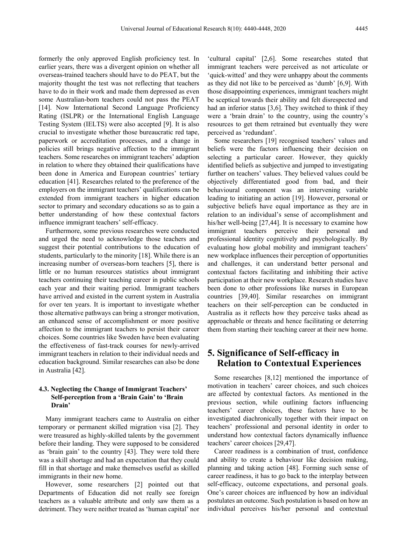formerly the only approved English proficiency test. In earlier years, there was a divergent opinion on whether all overseas-trained teachers should have to do PEAT, but the majority thought the test was not reflecting that teachers have to do in their work and made them depressed as even some Australian-born teachers could not pass the PEAT [14]. Now International Second Language Proficiency Rating (ISLPR) or the International English Language Testing System (IELTS) were also accepted [9]. It is also crucial to investigate whether those bureaucratic red tape, paperwork or accreditation processes, and a change in policies still brings negative affection to the immigrant teachers. Some researches on immigrant teachers' adaption in relation to where they obtained their qualifications have been done in America and European countries' tertiary education [41]. Researches related to the preference of the employers on the immigrant teachers' qualifications can be extended from immigrant teachers in higher education sector to primary and secondary educations so as to gain a better understanding of how these contextual factors influence immigrant teachers' self-efficacy.

Furthermore, some previous researches were conducted and urged the need to acknowledge those teachers and suggest their potential contributions to the education of students, particularly to the minority [18]. While there is an increasing number of overseas-born teachers [5], there is little or no human resources statistics about immigrant teachers continuing their teaching career in public schools each year and their waiting period. Immigrant teachers have arrived and existed in the current system in Australia for over ten years. It is important to investigate whether those alternative pathways can bring a stronger motivation, an enhanced sense of accomplishment or more positive affection to the immigrant teachers to persist their career choices. Some countries like Sweden have been evaluating the effectiveness of fast-track courses for newly-arrived immigrant teachers in relation to their individual needs and education background. Similar researches can also be done in Australia [42].

#### **4.3. Neglecting the Change of Immigrant Teachers' Self-perception from a 'Brain Gain' to 'Brain Drain'**

Many immigrant teachers came to Australia on either temporary or permanent skilled migration visa [2]. They were treasured as highly-skilled talents by the government before their landing. They were supposed to be considered as 'brain gain' to the country [43]. They were told there was a skill shortage and had an expectation that they could fill in that shortage and make themselves useful as skilled immigrants in their new home.

However, some researchers [2] pointed out that Departments of Education did not really see foreign teachers as a valuable attribute and only saw them as a detriment. They were neither treated as 'human capital' nor

'cultural capital' [2,6]. Some researches stated that immigrant teachers were perceived as not articulate or 'quick-witted' and they were unhappy about the comments as they did not like to be perceived as 'dumb' [6,9]. With those disappointing experiences, immigrant teachers might be sceptical towards their ability and felt disrespected and had an inferior status [3,6]. They switched to think if they were a 'brain drain' to the country, using the country's resources to get them retrained but eventually they were perceived as 'redundant'.

Some researchers [19] recognised teachers' values and beliefs were the factors influencing their decision on selecting a particular career. However, they quickly identified beliefs as subjective and jumped to investigating further on teachers' values. They believed values could be objectively differentiated good from bad, and their behavioural component was an intervening variable leading to initiating an action [19]. However, personal or subjective beliefs have equal importance as they are in relation to an individual's sense of accomplishment and his/her well-being [27,44]. It is necessary to examine how immigrant teachers perceive their personal and professional identity cognitively and psychologically. By evaluating how global mobility and immigrant teachers' new workplace influences their perception of opportunities and challenges, it can understand better personal and contextual factors facilitating and inhibiting their active participation at their new workplace. Research studies have been done to other professions like nurses in European countries [39,40]. Similar researches on immigrant teachers on their self-perception can be conducted in Australia as it reflects how they perceive tasks ahead as approachable or threats and hence facilitating or deterring them from starting their teaching career at their new home.

## **5. Significance of Self-efficacy in Relation to Contextual Experiences**

Some researches [8,12] mentioned the importance of motivation in teachers' career choices, and such choices are affected by contextual factors. As mentioned in the previous section, while outlining factors influencing teachers' career choices, these factors have to be investigated diachronically together with their impact on teachers' professional and personal identity in order to understand how contextual factors dynamically influence teachers' career choices [29,47].

Career readiness is a combination of trust, confidence and ability to create a behaviour like decision making, planning and taking action [48]. Forming such sense of career readiness, it has to go back to the interplay between self-efficacy, outcome expectations, and personal goals. One's career choices are influenced by how an individual postulates an outcome. Such postulation is based on how an individual perceives his/her personal and contextual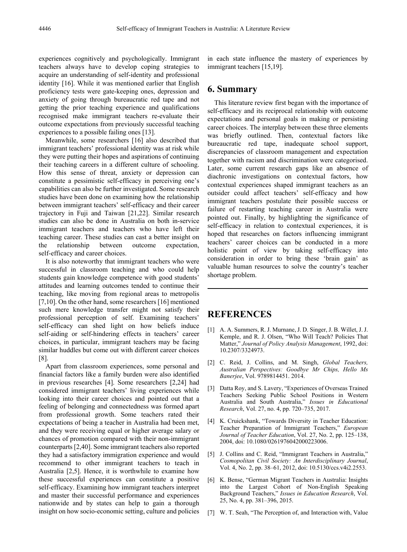experiences cognitively and psychologically. Immigrant teachers always have to develop coping strategies to acquire an understanding of self-identity and professional identity [16]. While it was mentioned earlier that English proficiency tests were gate-keeping ones, depression and anxiety of going through bureaucratic red tape and not getting the prior teaching experience and qualifications recognised make immigrant teachers re-evaluate their outcome expectations from previously successful teaching experiences to a possible failing ones [13].

Meanwhile, some researchers [16] also described that immigrant teachers' professional identity was at risk while they were putting their hopes and aspirations of continuing their teaching careers in a different culture of schooling. How this sense of threat, anxiety or depression can constitute a pessimistic self-efficacy in perceiving one's capabilities can also be further investigated. Some research studies have been done on examining how the relationship between immigrant teachers' self-efficacy and their career trajectory in Fuji and Taiwan [21,22]. Similar research studies can also be done in Australia on both in-service immigrant teachers and teachers who have left their teaching career. These studies can cast a better insight on the relationship between outcome expectation, self-efficacy and career choices.

It is also noteworthy that immigrant teachers who were successful in classroom teaching and who could help students gain knowledge competence with good students' attitudes and learning outcomes tended to continue their teaching, like moving from regional areas to metropolis [7,10]. On the other hand, some researchers [16] mentioned such mere knowledge transfer might not satisfy their professional perception of self. Examining teachers' self-efficacy can shed light on how beliefs induce self-aiding or self-hindering effects in teachers' career choices, in particular, immigrant teachers may be facing similar huddles but come out with different career choices [8].

Apart from classroom experiences, some personal and financial factors like a family burden were also identified in previous researches [4]. Some researchers [2,24] had considered immigrant teachers' living experiences while looking into their career choices and pointed out that a feeling of belonging and connectedness was formed apart from professional growth. Some teachers rated their expectations of being a teacher in Australia had been met, and they were receiving equal or higher average salary or chances of promotion compared with their non-immigrant counterparts [2,40]. Some immigrant teachers also reported they had a satisfactory immigration experience and would recommend to other immigrant teachers to teach in Australia [2,5]. Hence, it is worthwhile to examine how these successful experiences can constitute a positive self-efficacy. Examining how immigrant teachers interpret and master their successful performance and experiences nationwide and by states can help to gain a thorough insight on how socio-economic setting, culture and policies in each state influence the mastery of experiences by immigrant teachers [15,19].

### **6. Summary**

This literature review first began with the importance of self-efficacy and its reciprocal relationship with outcome expectations and personal goals in making or persisting career choices. The interplay between these three elements was briefly outlined. Then, contextual factors like bureaucratic red tape, inadequate school support, discrepancies of classroom management and expectation together with racism and discrimination were categorised. Later, some current research gaps like an absence of diachronic investigations on contextual factors, how contextual experiences shaped immigrant teachers as an outsider could affect teachers' self-efficacy and how immigrant teachers postulate their possible success or failure of restarting teaching career in Australia were pointed out. Finally, by highlighting the significance of self-efficacy in relation to contextual experiences, it is hoped that researches on factors influencing immigrant teachers' career choices can be conducted in a more holistic point of view by taking self-efficacy into consideration in order to bring these 'brain gain' as valuable human resources to solve the country's teacher shortage problem.

### **REFERENCES**

- [1] A. A. Summers, R. J. Murnane, J. D. Singer, J. B. Willet, J. J. Kemple, and R. J. Olsen, "Who Will Teach? Policies That Matter," *Journal of Policy Analysis Management*, 1992, doi: 10.2307/3324973.
- [2] C. Reid, J. Collins, and M. Singh, *Global Teachers, Australian Perspectives: Goodbye Mr Chips, Hello Ms Banerjee*, Vol. 9789814451. 2014.
- [3] Datta Roy, and S. Lavery, "Experiences of Overseas Trained Teachers Seeking Public School Positions in Western Australia and South Australia," *Issues in Educational Research*, Vol. 27, no. 4, pp. 720–735, 2017.
- [4] K. Cruickshank, "Towards Diversity in Teacher Education: Teacher Preparation of Immigrant Teachers," *European Journal of Teacher Education*, Vol. 27, No. 2, pp. 125–138, 2004, doi: 10.1080/0261976042000223006.
- [5] J. Collins and C. Reid, "Immigrant Teachers in Australia," *Cosmopolitan Civil Society: An Interdisciplinary Journal*, Vol. 4, No. 2, pp. 38–61, 2012, doi: 10.5130/ccs.v4i2.2553.
- [6] K. Bense, "German Migrant Teachers in Australia: Insights into the Largest Cohort of Non-English Speaking Background Teachers," *Issues in Education Research*, Vol. 25, No. 4, pp. 381–396, 2015.
- [7] W. T. Seah, "The Perception of, and Interaction with, Value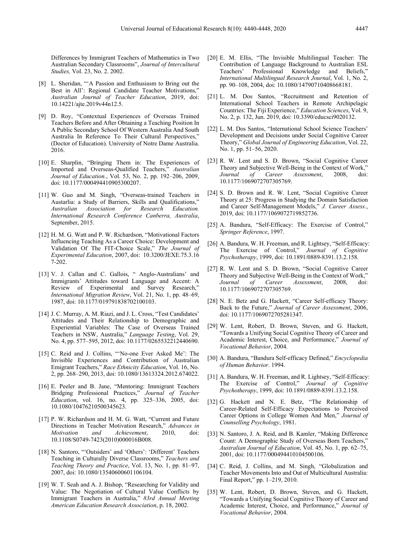Differences by Immigrant Teachers of Mathematics in Two Australian Secondary Classrooms", *Journal of Intercultural Studies,* Vol. 23, No. 2. 2002.

- [8] L. Sheridan, "'A Passion and Enthusiasm to Bring out the Best in All': Regional Candidate Teacher Motivations," *Australian Journal of Teacher Education*, 2019, doi: 10.14221/ajte.2019v44n12.5.
- [9] D. Roy, "Contextual Experiences of Overseas Trained Teachers Before and After Obtaining a Teaching Position In A Public Secondary School Of Western Australia And South Australia In Reference To Their Cultural Perspectives," (Doctor of Education). University of Notre Dame Australia. 2016.
- [10] E. Sharplin, "Bringing Them in: The Experiences of Imported and Overseas-Qualified Teachers," *Australian Journal of Education.*, Vol. 53, No. 2, pp. 192–206, 2009, doi: 10.1177/000494410905300207.
- [11] W. Guo and M. Singh, "Overseas-trained Teachers in Austarlia: a Study of Barriers, Skills and Qualifications," *Australian Association for Research Education. International Research Conference Canberra, Australia*, September, 2015.
- [12] H. M. G. Watt and P. W. Richardson, "Motivational Factors Influencing Teaching As a Career Choice: Development and Validation Of The FIT-Choice Scale," *The Journal of Experimental Education*, 2007, doi: 10.3200/JEXE.75.3.16 7-202.
- [13] V. J. Callan and C. Gallois, "Anglo-Australians' and Immigrants' Attitudes toward Language and Accent: A Review of Experimental and Survey Research," *International Migration Review*, Vol. 21, No. 1, pp. 48–69, 1987, doi: 10.1177/019791838702100103.
- [14] J. C. Murray, A. M. Riazi, and J. L. Cross, "Test Candidates' Attitudes and Their Relationship to Demographic and Experiential Variables: The Case of Overseas Trained Teachers in NSW, Australia," *Language Testing*, Vol. 29, No. 4, pp. 577–595, 2012, doi: 10.1177/0265532212440690.
- [15] C. Reid and J. Collins, "'No-one Ever Asked Me': The Invisible Experiences and Contribution of Australian Emigrant Teachers," *Race Ethnicity Education*, Vol. 16, No. 2, pp. 268–290, 2013, doi: 10.1080/13613324.2012.674022.
- [16] E. Peeler and B. Jane, "Mentoring: Immigrant Teachers Bridging Professional Practices," *Journal of Teacher Education*, vol. 16, no. 4, pp. 325–336, 2005, doi: 10.1080/10476210500345623.
- [17] P. W. Richardson and H. M. G. Watt, "Current and Future Directions in Teacher Motivation Research," *Advances in Motivation and Achievement*, 2010, doi: 10.1108/S0749-7423(2010)000016B008.
- [18] N. Santoro, "'Outsiders' and 'Others': 'Different' Teachers Teaching in Culturally Diverse Classrooms," *Teachers and Teaching Theory and Practice*, Vol. 13, No. 1, pp. 81–97, 2007, doi: 10.1080/13540600601106104.
- [19] W. T. Seah and A. J. Bishop, "Researching for Validity and Value: The Negotiation of Cultural Value Conflicts by Immigrant Teachers in Australia," *83rd Annual Meeting American Education Research Association*, p. 18, 2002.
- [20] E. M. Ellis, "The Invisible Multilingual Teacher: The Contribution of Language Background to Australian ESL Teachers' Professional Knowledge and Beliefs," *International Multilingual Research Journal*, Vol. 1, No. 2, pp. 90–108, 2004, doi: 10.1080/14790710408668181.
- [21] L. M. Dos Santos, "Recruitment and Retention of International School Teachers in Remote Archipelagic Countries: The Fiji Experience," *Education Sciences*, Vol. 9, No. 2, p. 132, Jun. 2019, doi: 10.3390/educsci9020132.
- [22] L. M. Dos Santos, "International School Science Teachers' Development and Decisions under Social Cognitive Career Theory," *Global Journal of Engineering Education*, Vol. 22, No. 1, pp. 51–56, 2020.
- [23] R. W. Lent and S. D. Brown, "Social Cognitive Career Theory and Subjective Well-Being in the Context of Work,"<br>Journal of Career Assessment, 2008, doi:  $Assessment$ , 10.1177/1069072707305769.
- [24] S. D. Brown and R. W. Lent, "Social Cognitive Career Theory at 25: Progress in Studying the Domain Satisfaction and Career Self-Management Models," *J. Career Assess.*, 2019, doi: 10.1177/1069072719852736.
- [25] A. Bandura, "Self-Efficacy: The Exercise of Control," *Springer Reference*, 1997.
- [26] A. Bandura, W. H. Freeman, and R. Lightsey, "Self-Efficacy: The Exercise of Control," *Journal of Cognitive Psychotherapy*, 1999, doi: 10.1891/0889-8391.13.2.158.
- [27] R. W. Lent and S. D. Brown, "Social Cognitive Career Theory and Subjective Well-Being in the Context of Work,' *Journal of Career Assessment*, 2008, doi: 10.1177/1069072707305769.
- [28] N. E. Betz and G. Hackett, "Career Self-efficacy Theory: Back to the Future," *Journal of Career Assessment*, 2006, doi: 10.1177/1069072705281347.
- [29] W. Lent, Robert, D. Brown, Steven, and G. Hackett, "Towards a Unifying Social Cognitive Theory of Career and Academic Interest, Choice, and Performance," *Journal of Vocational Behavior*, 2004.
- [30] A. Bandura, "Bandura Self-efficacy Defined," *Encyclopedia of Human Behavior*. 1994.
- [31] A. Bandura, W. H. Freeman, and R. Lightsey, "Self-Efficacy: The Exercise of Control," *Journal of Cognitive Psychotherapy*, 1999, doi: 10.1891/0889-8391.13.2.158.
- [32] G. Hackett and N. E. Betz, "The Relationship of Career-Related Self-Efficacy Expectations to Perceived Career Options in College Women And Men," *Journal of Counselling Psychology*, 1981.
- [33] N. Santoro, J. A. Reid, and B. Kamler, "Making Difference Count: A Demographic Study of Overseas Born Teachers,' *Australian Journal of Education*, Vol. 45, No. 1, pp. 62–75, 2001, doi: 10.1177/000494410104500106.
- [34] C. Reid, J. Collins, and M. Singh, "Globalization and Teacher Movements Into and Out of Multicultural Australia: Final Report," pp. 1–219, 2010.
- [35] W. Lent, Robert, D. Brown, Steven, and G. Hackett, "Towards a Unifying Social Cognitive Theory of Career and Academic Interest, Choice, and Performance," *Journal of Vocational Behavior*, 2004.